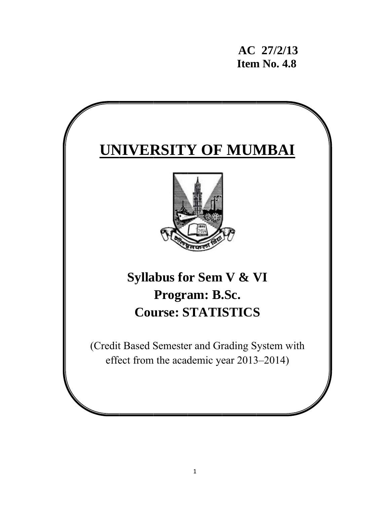**AC 27/2/1 13 11. Item No. 4.8** 

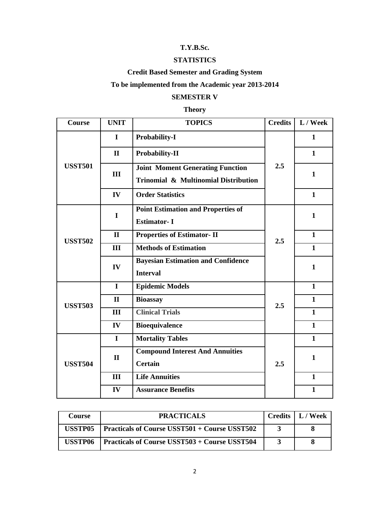# **T.Y.B.Sc.**

#### **STATISTICS**

# **Credit Based Semester and Grading System**

# **To be implemented from the Academic year 2013-2014**

### **SEMESTER V**

# **Theory**

| <b>Course</b>  | <b>UNIT</b>  | <b>TOPICS</b>                                                                   | <b>Credits</b> | L / Week     |
|----------------|--------------|---------------------------------------------------------------------------------|----------------|--------------|
|                | I            | <b>Probability-I</b>                                                            |                | $\mathbf{1}$ |
|                | $\mathbf{I}$ | <b>Probability-II</b>                                                           |                | $\mathbf{1}$ |
| <b>USST501</b> | III          | <b>Joint Moment Generating Function</b><br>Trinomial & Multinomial Distribution | 2.5            | $\mathbf{1}$ |
|                | IV           | <b>Order Statistics</b>                                                         |                | $\mathbf{1}$ |
|                | I            | <b>Point Estimation and Properties of</b><br><b>Estimator-I</b>                 |                | $\mathbf{1}$ |
| <b>USST502</b> | $\mathbf{I}$ | <b>Properties of Estimator-II</b>                                               | 2.5            | $\mathbf{1}$ |
|                | III          | <b>Methods of Estimation</b>                                                    |                | $\mathbf{1}$ |
|                | IV           | <b>Bayesian Estimation and Confidence</b><br><b>Interval</b>                    |                | $\mathbf{1}$ |
|                | $\mathbf I$  | <b>Epidemic Models</b>                                                          |                | $\mathbf{1}$ |
| <b>USST503</b> | $\mathbf{I}$ | <b>Bioassay</b>                                                                 | 2.5            | $\mathbf{1}$ |
|                | III          | <b>Clinical Trials</b>                                                          |                | $\mathbf{1}$ |
|                | IV           | <b>Bioequivalence</b>                                                           |                | $\mathbf{1}$ |
| <b>USST504</b> | $\mathbf I$  | <b>Mortality Tables</b>                                                         |                | $\mathbf{1}$ |
|                | $\mathbf{I}$ | <b>Compound Interest And Annuities</b><br><b>Certain</b>                        | 2.5            | $\mathbf{1}$ |
|                | III          | <b>Life Annuities</b>                                                           |                | $\mathbf{1}$ |
|                | IV           | <b>Assurance Benefits</b>                                                       |                | $\mathbf{1}$ |

| Course  | <b>PRACTICALS</b>                                    | Credits $\vert L /$ Week |
|---------|------------------------------------------------------|--------------------------|
| USSTP05 | <b>Practicals of Course USST501 + Course USST502</b> |                          |
| USSTP06 | <b>Practicals of Course USST503 + Course USST504</b> |                          |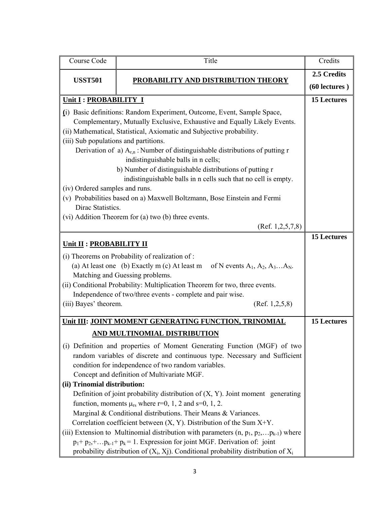| Course Code                                                                                                                                                                                                                                                                                                                                                                                                                                                                                                                                              | Title                                                                                                                                                                                                                                                                                                                                                                                                                                                                                                                                                                                                                                                                                                                                                                                            | Credits            |  |
|----------------------------------------------------------------------------------------------------------------------------------------------------------------------------------------------------------------------------------------------------------------------------------------------------------------------------------------------------------------------------------------------------------------------------------------------------------------------------------------------------------------------------------------------------------|--------------------------------------------------------------------------------------------------------------------------------------------------------------------------------------------------------------------------------------------------------------------------------------------------------------------------------------------------------------------------------------------------------------------------------------------------------------------------------------------------------------------------------------------------------------------------------------------------------------------------------------------------------------------------------------------------------------------------------------------------------------------------------------------------|--------------------|--|
| <b>USST501</b>                                                                                                                                                                                                                                                                                                                                                                                                                                                                                                                                           | PROBABILITY AND DISTRIBUTION THEORY                                                                                                                                                                                                                                                                                                                                                                                                                                                                                                                                                                                                                                                                                                                                                              | 2.5 Credits        |  |
|                                                                                                                                                                                                                                                                                                                                                                                                                                                                                                                                                          |                                                                                                                                                                                                                                                                                                                                                                                                                                                                                                                                                                                                                                                                                                                                                                                                  | $(60$ lectures $)$ |  |
| Unit I : PROBABILITY I                                                                                                                                                                                                                                                                                                                                                                                                                                                                                                                                   | <b>15 Lectures</b>                                                                                                                                                                                                                                                                                                                                                                                                                                                                                                                                                                                                                                                                                                                                                                               |                    |  |
| (i) Basic definitions: Random Experiment, Outcome, Event, Sample Space,<br>Complementary, Mutually Exclusive, Exhaustive and Equally Likely Events.<br>(ii) Mathematical, Statistical, Axiomatic and Subjective probability.<br>(iii) Sub populations and partitions.<br>Derivation of a) $A_{r,n}$ : Number of distinguishable distributions of putting r<br>b) Number of distinguishable distributions of putting r<br>(iv) Ordered samples and runs.<br>(v) Probabilities based on a) Maxwell Boltzmann, Bose Einstein and Fermi<br>Dirac Statistics. |                                                                                                                                                                                                                                                                                                                                                                                                                                                                                                                                                                                                                                                                                                                                                                                                  |                    |  |
|                                                                                                                                                                                                                                                                                                                                                                                                                                                                                                                                                          | (vi) Addition Theorem for (a) two (b) three events.<br>(Ref. $1,2,5,7,8$ )                                                                                                                                                                                                                                                                                                                                                                                                                                                                                                                                                                                                                                                                                                                       |                    |  |
| <b>15 Lectures</b><br>Unit II : PROBABILITY II<br>(i) Theorems on Probability of realization of :<br>(a) At least one (b) Exactly m (c) At least m of N events $A_1, A_2, A_3A_N$ .<br>Matching and Guessing problems.<br>(ii) Conditional Probability: Multiplication Theorem for two, three events.<br>Independence of two/three events - complete and pair wise.<br>(iii) Bayes' theorem.<br>(Ref. 1, 2, 5, 8)                                                                                                                                        |                                                                                                                                                                                                                                                                                                                                                                                                                                                                                                                                                                                                                                                                                                                                                                                                  |                    |  |
|                                                                                                                                                                                                                                                                                                                                                                                                                                                                                                                                                          | Unit III: JOINT MOMENT GENERATING FUNCTION, TRINOMIAL                                                                                                                                                                                                                                                                                                                                                                                                                                                                                                                                                                                                                                                                                                                                            | <b>15 Lectures</b> |  |
| (ii) Trinomial distribution:                                                                                                                                                                                                                                                                                                                                                                                                                                                                                                                             | <u>AND MULTINOMIAL DISTRIBUTION</u><br>(i) Definition and properties of Moment Generating Function (MGF) of two<br>random variables of discrete and continuous type. Necessary and Sufficient<br>condition for independence of two random variables.<br>Concept and definition of Multivariate MGF.<br>Definition of joint probability distribution of $(X, Y)$ . Joint moment generating<br>function, moments $\mu_{rs}$ where r=0, 1, 2 and s=0, 1, 2.<br>Marginal & Conditional distributions. Their Means & Variances.<br>Correlation coefficient between $(X, Y)$ . Distribution of the Sum $X+Y$ .<br>(iii) Extension to Multinomial distribution with parameters $(n, p_1, p_2, \ldots, p_{k-1})$ where<br>$p_1+p_2+\dots p_{k-1}+p_k=1$ . Expression for joint MGF. Derivation of: joint |                    |  |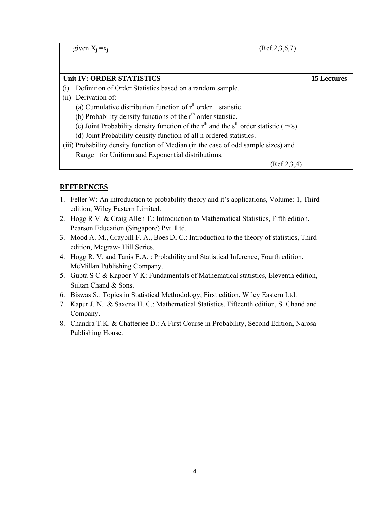|      | (Ref.2, 3, 6, 7)<br>given $X_i = x_i$                                                         |                    |
|------|-----------------------------------------------------------------------------------------------|--------------------|
|      |                                                                                               |                    |
|      | Unit IV: ORDER STATISTICS                                                                     | <b>15 Lectures</b> |
|      | Definition of Order Statistics based on a random sample.                                      |                    |
| (11) | Derivation of:                                                                                |                    |
|      | (a) Cumulative distribution function of $rth$ order statistic.                                |                    |
|      | (b) Probability density functions of the $rth$ order statistic.                               |                    |
|      | (c) Joint Probability density function of the $rth$ and the $sth$ order statistic ( $r < s$ ) |                    |
|      | (d) Joint Probability density function of all n ordered statistics.                           |                    |
|      | (iii) Probability density function of Median (in the case of odd sample sizes) and            |                    |
|      | Range for Uniform and Exponential distributions.                                              |                    |
|      | (Ref.2,3,4)                                                                                   |                    |

- 1. Feller W: An introduction to probability theory and it's applications, Volume: 1, Third edition, Wiley Eastern Limited.
- 2. Hogg R V. & Craig Allen T.: Introduction to Mathematical Statistics, Fifth edition, Pearson Education (Singapore) Pvt. Ltd.
- 3. Mood A. M., Graybill F. A., Boes D. C.: Introduction to the theory of statistics, Third edition, Mcgraw- Hill Series.
- 4. Hogg R. V. and Tanis E.A. : Probability and Statistical Inference, Fourth edition, McMillan Publishing Company.
- 5. Gupta S C & Kapoor V K: Fundamentals of Mathematical statistics, Eleventh edition, Sultan Chand & Sons.
- 6. Biswas S.: Topics in Statistical Methodology, First edition, Wiley Eastern Ltd.
- 7. Kapur J. N. & Saxena H. C.: Mathematical Statistics, Fifteenth edition, S. Chand and Company.
- 8. Chandra T.K. & Chatterjee D.: A First Course in Probability, Second Edition, Narosa Publishing House.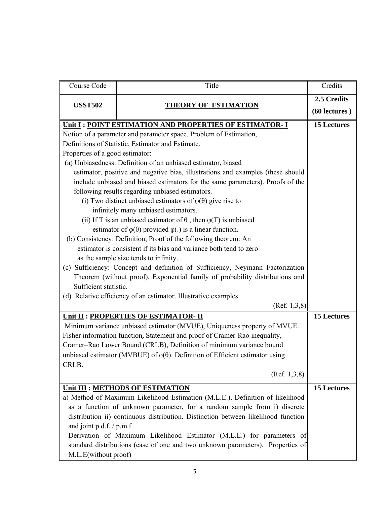| Course Code                                                                            | Title                                                                           | Credits            |  |
|----------------------------------------------------------------------------------------|---------------------------------------------------------------------------------|--------------------|--|
| <b>USST502</b>                                                                         |                                                                                 | 2.5 Credits        |  |
|                                                                                        | <b>THEORY OF ESTIMATION</b>                                                     | $(60$ lectures $)$ |  |
|                                                                                        | Unit I : POINT ESTIMATION AND PROPERTIES OF ESTIMATOR- I                        |                    |  |
|                                                                                        | Notion of a parameter and parameter space. Problem of Estimation,               |                    |  |
|                                                                                        | Definitions of Statistic, Estimator and Estimate.                               |                    |  |
| Properties of a good estimator:                                                        |                                                                                 |                    |  |
|                                                                                        | (a) Unbiasedness: Definition of an unbiased estimator, biased                   |                    |  |
|                                                                                        | estimator, positive and negative bias, illustrations and examples (these should |                    |  |
|                                                                                        | include unbiased and biased estimators for the same parameters). Proofs of the  |                    |  |
|                                                                                        | following results regarding unbiased estimators.                                |                    |  |
|                                                                                        | (i) Two distinct unbiased estimators of $\varphi(\theta)$ give rise to          |                    |  |
|                                                                                        | infinitely many unbiased estimators.                                            |                    |  |
|                                                                                        | (ii) If T is an unbiased estimator of $\theta$ , then $\varphi(T)$ is unbiased  |                    |  |
|                                                                                        | estimator of $\varphi(\theta)$ provided $\varphi(.)$ is a linear function.      |                    |  |
|                                                                                        | (b) Consistency: Definition, Proof of the following theorem: An                 |                    |  |
|                                                                                        | estimator is consistent if its bias and variance both tend to zero              |                    |  |
|                                                                                        | as the sample size tends to infinity.                                           |                    |  |
|                                                                                        | (c) Sufficiency: Concept and definition of Sufficiency, Neymann Factorization   |                    |  |
| Theorem (without proof). Exponential family of probability distributions and           |                                                                                 |                    |  |
| Sufficient statistic.                                                                  |                                                                                 |                    |  |
|                                                                                        | (d) Relative efficiency of an estimator. Illustrative examples.                 |                    |  |
|                                                                                        | (Ref. 1, 3, 8)                                                                  |                    |  |
|                                                                                        | Unit II : PROPERTIES OF ESTIMATOR- II                                           | <b>15 Lectures</b> |  |
|                                                                                        | Minimum variance unbiased estimator (MVUE), Uniqueness property of MVUE.        |                    |  |
|                                                                                        | Fisher information function, Statement and proof of Cramer-Rao inequality,      |                    |  |
|                                                                                        | Cramer-Rao Lower Bound (CRLB), Definition of minimum variance bound             |                    |  |
| unbiased estimator (MVBUE) of $\phi(\theta)$ . Definition of Efficient estimator using |                                                                                 |                    |  |
| CRLB.                                                                                  |                                                                                 |                    |  |
| (Ref. 1, 3, 8)                                                                         |                                                                                 |                    |  |
| Unit III : METHODS OF ESTIMATION                                                       | <b>15 Lectures</b>                                                              |                    |  |
| a) Method of Maximum Likelihood Estimation (M.L.E.), Definition of likelihood          |                                                                                 |                    |  |
| as a function of unknown parameter, for a random sample from i) discrete               |                                                                                 |                    |  |
| distribution ii) continuous distribution. Distinction between likelihood function      |                                                                                 |                    |  |
| and joint p.d.f. $/$ p.m.f.                                                            |                                                                                 |                    |  |
| Derivation of Maximum Likelihood Estimator (M.L.E.) for parameters of                  |                                                                                 |                    |  |
|                                                                                        | standard distributions (case of one and two unknown parameters). Properties of  |                    |  |
| M.L.E(without proof)                                                                   |                                                                                 |                    |  |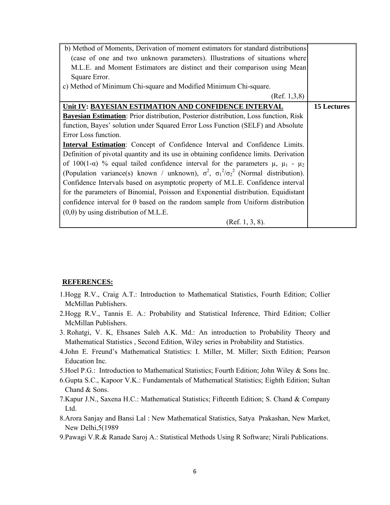| b) Method of Moments, Derivation of moment estimators for standard distributions                      |                    |
|-------------------------------------------------------------------------------------------------------|--------------------|
| (case of one and two unknown parameters). Illustrations of situations where                           |                    |
| M.L.E. and Moment Estimators are distinct and their comparison using Mean                             |                    |
| Square Error.                                                                                         |                    |
| c) Method of Minimum Chi-square and Modified Minimum Chi-square.                                      |                    |
| (Ref. 1, 3, 8)                                                                                        |                    |
| Unit IV: BAYESIAN ESTIMATION AND CONFIDENCE INTERVAL                                                  | <b>15 Lectures</b> |
| <b>Bayesian Estimation:</b> Prior distribution, Posterior distribution, Loss function, Risk           |                    |
| function, Bayes' solution under Squared Error Loss Function (SELF) and Absolute                       |                    |
| Error Loss function.                                                                                  |                    |
| <b>Interval Estimation:</b> Concept of Confidence Interval and Confidence Limits.                     |                    |
| Definition of pivotal quantity and its use in obtaining confidence limits. Derivation                 |                    |
| of 100(1- $\alpha$ ) % equal tailed confidence interval for the parameters $\mu$ , $\mu_1$ - $\mu_2$  |                    |
| (Population variance(s) known / unknown), $\sigma^2$ , $\sigma_1^2/\sigma_2^2$ (Normal distribution). |                    |
| Confidence Intervals based on asymptotic property of M.L.E. Confidence interval                       |                    |
| for the parameters of Binomial, Poisson and Exponential distribution. Equidistant                     |                    |
| confidence interval for $\theta$ based on the random sample from Uniform distribution                 |                    |
| $(0,\theta)$ by using distribution of M.L.E.                                                          |                    |
| (Ref. 1, 3, 8).                                                                                       |                    |

- 1.Hogg R.V., Craig A.T.: Introduction to Mathematical Statistics, Fourth Edition; Collier McMillan Publishers.
- 2.Hogg R.V., Tannis E. A.: Probability and Statistical Inference, Third Edition; Collier McMillan Publishers.
- 3. Rohatgi, V. K, Ehsanes Saleh A.K. Md.: An introduction to Probability Theory and Mathematical Statistics , Second Edition, Wiley series in Probability and Statistics.
- 4.John E. Freund's Mathematical Statistics: I. Miller, M. Miller; Sixth Edition; Pearson Education Inc.
- 5.Hoel P.G.: Introduction to Mathematical Statistics; Fourth Edition; John Wiley & Sons Inc.
- 6.Gupta S.C., Kapoor V.K.: Fundamentals of Mathematical Statistics; Eighth Edition; Sultan Chand & Sons.
- 7.Kapur J.N., Saxena H.C.: Mathematical Statistics; Fifteenth Edition; S. Chand & Company Ltd.
- 8.Arora Sanjay and Bansi Lal : New Mathematical Statistics, Satya Prakashan, New Market, New Delhi,5(1989
- 9.Pawagi V.R.& Ranade Saroj A.: Statistical Methods Using R Software; Nirali Publications.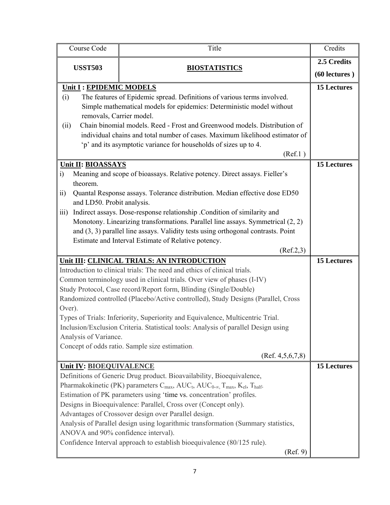| Course Code<br>Title                                                                                                                    |                                                                                                                                                             | Credits                           |
|-----------------------------------------------------------------------------------------------------------------------------------------|-------------------------------------------------------------------------------------------------------------------------------------------------------------|-----------------------------------|
| <b>USST503</b><br><b>BIOSTATISTICS</b>                                                                                                  |                                                                                                                                                             | 2.5 Credits<br>$(60$ lectures $)$ |
| Unit I: EPIDEMIC MODELS                                                                                                                 |                                                                                                                                                             | <b>15 Lectures</b>                |
| (i)                                                                                                                                     | The features of Epidemic spread. Definitions of various terms involved.                                                                                     |                                   |
|                                                                                                                                         | Simple mathematical models for epidemics: Deterministic model without                                                                                       |                                   |
| removals, Carrier model.                                                                                                                |                                                                                                                                                             |                                   |
| (ii)                                                                                                                                    | Chain binomial models. Reed - Frost and Greenwood models. Distribution of                                                                                   |                                   |
|                                                                                                                                         | individual chains and total number of cases. Maximum likelihood estimator of                                                                                |                                   |
|                                                                                                                                         | 'p' and its asymptotic variance for households of sizes up to 4.                                                                                            |                                   |
|                                                                                                                                         | (Ref.1)                                                                                                                                                     |                                   |
| Unit II: BIOASSAYS                                                                                                                      |                                                                                                                                                             | <b>15 Lectures</b>                |
| $\ddot{1}$                                                                                                                              | Meaning and scope of bioassays. Relative potency. Direct assays. Fieller's                                                                                  |                                   |
| theorem.                                                                                                                                |                                                                                                                                                             |                                   |
| $\overline{11}$                                                                                                                         | Quantal Response assays. Tolerance distribution. Median effective dose ED50                                                                                 |                                   |
| and LD50. Probit analysis.                                                                                                              |                                                                                                                                                             |                                   |
| $\overline{111}$                                                                                                                        | Indirect assays. Dose-response relationship .Condition of similarity and<br>Monotony. Linearizing transformations. Parallel line assays. Symmetrical (2, 2) |                                   |
|                                                                                                                                         | and $(3, 3)$ parallel line assays. Validity tests using orthogonal contrasts. Point                                                                         |                                   |
|                                                                                                                                         | Estimate and Interval Estimate of Relative potency.                                                                                                         |                                   |
|                                                                                                                                         | (Ref.2,3)                                                                                                                                                   |                                   |
|                                                                                                                                         | Unit III: CLINICAL TRIALS: AN INTRODUCTION                                                                                                                  | <b>15 Lectures</b>                |
|                                                                                                                                         | Introduction to clinical trials: The need and ethics of clinical trials.                                                                                    |                                   |
| Common terminology used in clinical trials. Over view of phases (I-IV)                                                                  |                                                                                                                                                             |                                   |
|                                                                                                                                         | Study Protocol, Case record/Report form, Blinding (Single/Double)                                                                                           |                                   |
|                                                                                                                                         | Randomized controlled (Placebo/Active controlled), Study Designs (Parallel, Cross                                                                           |                                   |
| Over).                                                                                                                                  |                                                                                                                                                             |                                   |
|                                                                                                                                         | Types of Trials: Inferiority, Superiority and Equivalence, Multicentric Trial.                                                                              |                                   |
|                                                                                                                                         | Inclusion/Exclusion Criteria. Statistical tools: Analysis of parallel Design using                                                                          |                                   |
| Analysis of Variance.                                                                                                                   |                                                                                                                                                             |                                   |
|                                                                                                                                         | Concept of odds ratio. Sample size estimation.                                                                                                              |                                   |
|                                                                                                                                         | (Ref. 4, 5, 6, 7, 8)                                                                                                                                        |                                   |
| <b>Unit IV: BIOEQUIVALENCE</b>                                                                                                          |                                                                                                                                                             | <b>15 Lectures</b>                |
|                                                                                                                                         | Definitions of Generic Drug product. Bioavailability, Bioequivalence,                                                                                       |                                   |
|                                                                                                                                         | Pharmakokinetic (PK) parameters $C_{\text{max}}$ , AUC <sub>t</sub> , AUC <sub>0-∞</sub> , T <sub>max</sub> , K <sub>el</sub> , T <sub>half</sub> .         |                                   |
| Estimation of PK parameters using 'time vs. concentration' profiles.<br>Designs in Bioequivalence: Parallel, Cross over (Concept only). |                                                                                                                                                             |                                   |
| Advantages of Crossover design over Parallel design.                                                                                    |                                                                                                                                                             |                                   |
| Analysis of Parallel design using logarithmic transformation (Summary statistics,                                                       |                                                                                                                                                             |                                   |
| ANOVA and 90% confidence interval).                                                                                                     |                                                                                                                                                             |                                   |
|                                                                                                                                         | Confidence Interval approach to establish bioequivalence (80/125 rule).                                                                                     |                                   |
|                                                                                                                                         | (Ref. 9)                                                                                                                                                    |                                   |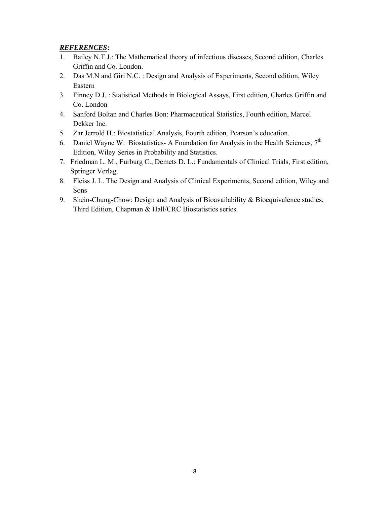- 1. Bailey N.T.J.: The Mathematical theory of infectious diseases, Second edition, Charles Griffin and Co. London.
- 2. Das M.N and Giri N.C. : Design and Analysis of Experiments, Second edition, Wiley Eastern
- 3. Finney D.J. : Statistical Methods in Biological Assays, First edition, Charles Griffin and Co. London
- 4. Sanford Boltan and Charles Bon: Pharmaceutical Statistics, Fourth edition, Marcel Dekker Inc.
- 5. Zar Jerrold H.: Biostatistical Analysis, Fourth edition, Pearson's education.
- 6. Daniel Wayne W: Biostatistics- A Foundation for Analysis in the Health Sciences,  $7<sup>th</sup>$ Edition, Wiley Series in Probability and Statistics.
- 7. Friedman L. M., Furburg C., Demets D. L.: Fundamentals of Clinical Trials, First edition, Springer Verlag.
- 8. Fleiss J. L. The Design and Analysis of Clinical Experiments, Second edition, Wiley and Sons
- 9. Shein-Chung-Chow: Design and Analysis of Bioavailability & Bioequivalence studies, Third Edition, Chapman & Hall/CRC Biostatistics series.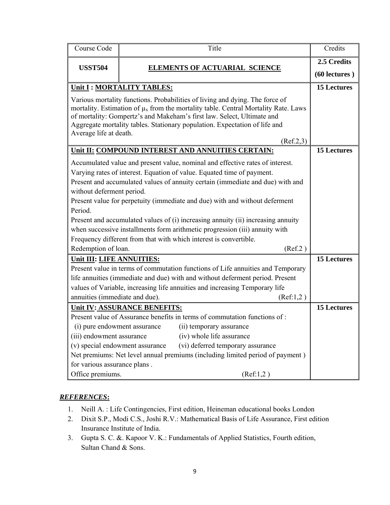| Course Code                                                                                                                                                                                                                                                                                                                                                                                                                                          |                           | Title                                                                                                                                                                                                                                                                                                                                        | Credits                      |
|------------------------------------------------------------------------------------------------------------------------------------------------------------------------------------------------------------------------------------------------------------------------------------------------------------------------------------------------------------------------------------------------------------------------------------------------------|---------------------------|----------------------------------------------------------------------------------------------------------------------------------------------------------------------------------------------------------------------------------------------------------------------------------------------------------------------------------------------|------------------------------|
| <b>USST504</b>                                                                                                                                                                                                                                                                                                                                                                                                                                       |                           | <b>ELEMENTS OF ACTUARIAL SCIENCE</b>                                                                                                                                                                                                                                                                                                         | 2.5 Credits<br>(60 lectures) |
|                                                                                                                                                                                                                                                                                                                                                                                                                                                      | Unit I: MORTALITY TABLES: |                                                                                                                                                                                                                                                                                                                                              | <b>15 Lectures</b>           |
| Average life at death.                                                                                                                                                                                                                                                                                                                                                                                                                               |                           | Various mortality functions. Probabilities of living and dying. The force of<br>mortality. Estimation of $\mu_x$ from the mortality table. Central Mortality Rate. Laws<br>of mortality: Gompertz's and Makeham's first law. Select, Ultimate and<br>Aggregate mortality tables. Stationary population. Expectation of life and<br>(Ref.2,3) |                              |
|                                                                                                                                                                                                                                                                                                                                                                                                                                                      |                           | Unit II: COMPOUND INTEREST AND ANNUITIES CERTAIN:                                                                                                                                                                                                                                                                                            | <b>15 Lectures</b>           |
| Accumulated value and present value, nominal and effective rates of interest.<br>Varying rates of interest. Equation of value. Equated time of payment.<br>Present and accumulated values of annuity certain (immediate and due) with and<br>without deferment period.<br>Present value for perpetuity (immediate and due) with and without deferment<br>Period.<br>Present and accumulated values of (i) increasing annuity (ii) increasing annuity |                           |                                                                                                                                                                                                                                                                                                                                              |                              |
| when successive installments form arithmetic progression (iii) annuity with                                                                                                                                                                                                                                                                                                                                                                          |                           |                                                                                                                                                                                                                                                                                                                                              |                              |
| Frequency different from that with which interest is convertible.                                                                                                                                                                                                                                                                                                                                                                                    |                           |                                                                                                                                                                                                                                                                                                                                              |                              |
| Redemption of loan.<br>(Ref.2)                                                                                                                                                                                                                                                                                                                                                                                                                       |                           |                                                                                                                                                                                                                                                                                                                                              |                              |
| Unit III: LIFE ANNUITIES:<br>Present value in terms of commutation functions of Life annuities and Temporary<br>life annuities (immediate and due) with and without deferment period. Present<br>values of Variable, increasing life annuities and increasing Temporary life<br>annuities (immediate and due).<br>(Ref:1,2)                                                                                                                          |                           |                                                                                                                                                                                                                                                                                                                                              | <b>15 Lectures</b>           |
| <b>Unit IV: ASSURANCE BENEFITS:</b>                                                                                                                                                                                                                                                                                                                                                                                                                  |                           |                                                                                                                                                                                                                                                                                                                                              | <b>15 Lectures</b>           |
| Present value of Assurance benefits in terms of commutation functions of:<br>(i) pure endowment assurance<br>(ii) temporary assurance<br>(iii) endowment assurance<br>(iv) whole life assurance<br>(v) special endowment assurance<br>(vi) deferred temporary assurance<br>Net premiums: Net level annual premiums (including limited period of payment)<br>for various assurance plans.<br>Office premiums.<br>(Ref:1,2)                            |                           |                                                                                                                                                                                                                                                                                                                                              |                              |

- 1. Neill A. : Life Contingencies, First edition, Heineman educational books London
- 2. Dixit S.P., Modi C.S., Joshi R.V.: Mathematical Basis of Life Assurance, First edition Insurance Institute of India.
- 3. Gupta S. C. &. Kapoor V. K.: Fundamentals of Applied Statistics, Fourth edition, Sultan Chand & Sons.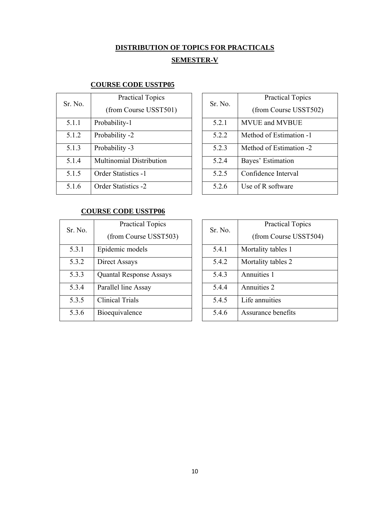# **DISTRIBUTION OF TOPICS FOR PRACTICALS**

# **SEMESTER-V**

# **COURSE CODE USSTP05**

| Sr. No. | <b>Practical Topics</b>    |  |
|---------|----------------------------|--|
|         | (from Course USST501)      |  |
| 5.1.1   | Probability-1              |  |
| 5.1.2   | Probability -2             |  |
| 5.1.3   | Probability -3             |  |
| 5.1.4   | Multinomial Distribution   |  |
| 5.1.5   | <b>Order Statistics -1</b> |  |
| 5.1.6   | <b>Order Statistics -2</b> |  |

| Sr No | <b>Practical Topics</b><br>(from Course USST502) |
|-------|--------------------------------------------------|
| 5.2.1 | <b>MVUE and MVBUE</b>                            |
| 5.2.2 | Method of Estimation -1                          |
| 523   | Method of Estimation -2                          |
| 524   | Bayes' Estimation                                |
| 525   | Confidence Interval                              |
| 526   | Use of R software                                |

# **COURSE CODE USSTP06**

| Sr. No. | <b>Practical Topics</b>        |  |
|---------|--------------------------------|--|
|         | (from Course USST503)          |  |
| 5.3.1   | Epidemic models                |  |
| 5.3.2   | Direct Assays                  |  |
| 5.3.3   | <b>Quantal Response Assays</b> |  |
| 5.3.4   | Parallel line Assay            |  |
| 5.3.5   | <b>Clinical Trials</b>         |  |
| 5.3.6   | Bioequivalence                 |  |

| Sr. No. | <b>Practical Topics</b> |  |
|---------|-------------------------|--|
|         | (from Course USST504)   |  |
| 5.4.1   | Mortality tables 1      |  |
| 5.4.2   | Mortality tables 2      |  |
| 5.4.3   | Annuities 1             |  |
| 5.4.4   | Annuities 2             |  |
| 5.4.5   | Life annuities          |  |
| 5.4.6   | Assurance benefits      |  |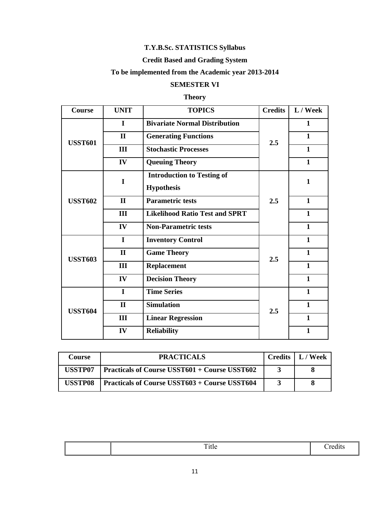# **T.Y.B.Sc. STATISTICS Syllabus**

# **Credit Based and Grading System**

# **To be implemented from the Academic year 2013-2014**

# **SEMESTER VI**

# **Theory**

| <b>Course</b>  | <b>UNIT</b>  | <b>TOPICS</b>                         | <b>Credits</b> | L / Week     |
|----------------|--------------|---------------------------------------|----------------|--------------|
| <b>USST601</b> | $\mathbf I$  | <b>Bivariate Normal Distribution</b>  |                | 1            |
|                | $\mathbf{I}$ | <b>Generating Functions</b>           | 2.5            | $\mathbf{1}$ |
|                | III          | <b>Stochastic Processes</b>           |                | $\mathbf{1}$ |
|                | IV           | <b>Queuing Theory</b>                 |                | $\mathbf{1}$ |
|                | $\mathbf I$  | <b>Introduction to Testing of</b>     |                | 1            |
|                |              | <b>Hypothesis</b>                     |                |              |
| <b>USST602</b> | $\mathbf{I}$ | <b>Parametric tests</b>               | 2.5            | $\mathbf{1}$ |
|                | III          | <b>Likelihood Ratio Test and SPRT</b> |                | $\mathbf{1}$ |
|                | IV           | <b>Non-Parametric tests</b>           |                | $\mathbf{1}$ |
| <b>USST603</b> | $\mathbf I$  | <b>Inventory Control</b>              |                | 1            |
|                | $\mathbf{I}$ | <b>Game Theory</b>                    | 2.5            | $\mathbf{1}$ |
|                | III          | <b>Replacement</b>                    |                | 1            |
|                | IV           | <b>Decision Theory</b>                |                | 1            |
| <b>USST604</b> | $\mathbf I$  | <b>Time Series</b>                    |                | $\mathbf{1}$ |
|                | $\mathbf{I}$ | <b>Simulation</b>                     | 2.5            | $\mathbf{1}$ |
|                | III          | <b>Linear Regression</b>              |                | $\mathbf{1}$ |
|                | IV           | <b>Reliability</b>                    |                | $\mathbf{1}$ |

| Course  | <b>PRACTICALS</b>                                    | Credits   L / Week |
|---------|------------------------------------------------------|--------------------|
| USSTP07 | <b>Practicals of Course USST601 + Course USST602</b> |                    |
| USSTP08 | <b>Practicals of Course USST603 + Course USST604</b> |                    |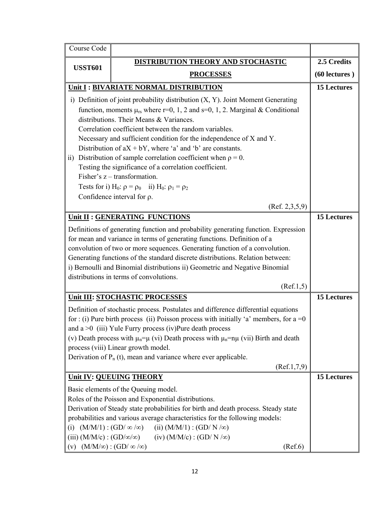| Course Code                                                                                                                                                                                                                                                                                                                                                                                                                                                                                                                                                                                                                                                                                                         |                                                                                                                                                                                                                                                                                                                                                                                                                                                                                                                                |                    |  |
|---------------------------------------------------------------------------------------------------------------------------------------------------------------------------------------------------------------------------------------------------------------------------------------------------------------------------------------------------------------------------------------------------------------------------------------------------------------------------------------------------------------------------------------------------------------------------------------------------------------------------------------------------------------------------------------------------------------------|--------------------------------------------------------------------------------------------------------------------------------------------------------------------------------------------------------------------------------------------------------------------------------------------------------------------------------------------------------------------------------------------------------------------------------------------------------------------------------------------------------------------------------|--------------------|--|
| <b>USST601</b>                                                                                                                                                                                                                                                                                                                                                                                                                                                                                                                                                                                                                                                                                                      | DISTRIBUTION THEORY AND STOCHASTIC                                                                                                                                                                                                                                                                                                                                                                                                                                                                                             | 2.5 Credits        |  |
| <b>PROCESSES</b>                                                                                                                                                                                                                                                                                                                                                                                                                                                                                                                                                                                                                                                                                                    |                                                                                                                                                                                                                                                                                                                                                                                                                                                                                                                                | $(60$ lectures $)$ |  |
|                                                                                                                                                                                                                                                                                                                                                                                                                                                                                                                                                                                                                                                                                                                     | Unit I : BIVARIATE NORMAL DISTRIBUTION                                                                                                                                                                                                                                                                                                                                                                                                                                                                                         | <b>15 Lectures</b> |  |
| i) Definition of joint probability distribution $(X, Y)$ . Joint Moment Generating<br>function, moments $\mu_{rs}$ where r=0, 1, 2 and s=0, 1, 2. Marginal & Conditional<br>distributions. Their Means & Variances.<br>Correlation coefficient between the random variables.<br>Necessary and sufficient condition for the independence of X and Y.<br>Distribution of $aX + bY$ , where 'a' and 'b' are constants.<br>ii) Distribution of sample correlation coefficient when $\rho = 0$ .<br>Testing the significance of a correlation coefficient.<br>Fisher's $z$ – transformation.<br>Tests for i) H <sub>0</sub> : $\rho = \rho_0$ ii) H <sub>0</sub> : $\rho_1 = \rho_2$<br>Confidence interval for $\rho$ . |                                                                                                                                                                                                                                                                                                                                                                                                                                                                                                                                |                    |  |
| (Ref. 2, 3, 5, 9)                                                                                                                                                                                                                                                                                                                                                                                                                                                                                                                                                                                                                                                                                                   |                                                                                                                                                                                                                                                                                                                                                                                                                                                                                                                                |                    |  |
|                                                                                                                                                                                                                                                                                                                                                                                                                                                                                                                                                                                                                                                                                                                     | <b>15 Lectures</b><br>Unit II : GENERATING FUNCTIONS<br>Definitions of generating function and probability generating function. Expression<br>for mean and variance in terms of generating functions. Definition of a<br>convolution of two or more sequences. Generating function of a convolution.<br>Generating functions of the standard discrete distributions. Relation between:<br>i) Bernoulli and Binomial distributions ii) Geometric and Negative Binomial<br>distributions in terms of convolutions.<br>(Ref.1, 5) |                    |  |
|                                                                                                                                                                                                                                                                                                                                                                                                                                                                                                                                                                                                                                                                                                                     | Unit III: STOCHASTIC PROCESSES                                                                                                                                                                                                                                                                                                                                                                                                                                                                                                 | <b>15 Lectures</b> |  |
| Definition of stochastic process. Postulates and difference differential equations<br>for : (i) Pure birth process (ii) Poisson process with initially 'a' members, for $a = 0$<br>and $a > 0$ (iii) Yule Furry process (iv) Pure death process<br>(v) Death process with $\mu_n = \mu$ (vi) Death process with $\mu_n = n\mu$ (vii) Birth and death<br>process (viii) Linear growth model.<br>Derivation of $P_n(t)$ , mean and variance where ever applicable.<br>(Ref.1, 7, 9)                                                                                                                                                                                                                                   |                                                                                                                                                                                                                                                                                                                                                                                                                                                                                                                                |                    |  |
| Unit IV: QUEUING THEORY                                                                                                                                                                                                                                                                                                                                                                                                                                                                                                                                                                                                                                                                                             |                                                                                                                                                                                                                                                                                                                                                                                                                                                                                                                                | <b>15 Lectures</b> |  |
| Basic elements of the Queuing model.<br>Roles of the Poisson and Exponential distributions.<br>Derivation of Steady state probabilities for birth and death process. Steady state<br>probabilities and various average characteristics for the following models:<br>(ii) $(M/M/1)$ : $(GD/N/\infty)$<br>(i) $(M/M/1)$ : $(GD/\infty/\infty)$<br>(iii) $(M/M/c)$ : $(GD/\infty/\infty)$<br>$(iv) (M/M/c) : (GD/N/\infty)$<br>$(M/M/\infty)$ : $(GD/\infty/\infty)$<br>(Ref.6)<br>(v)                                                                                                                                                                                                                                 |                                                                                                                                                                                                                                                                                                                                                                                                                                                                                                                                |                    |  |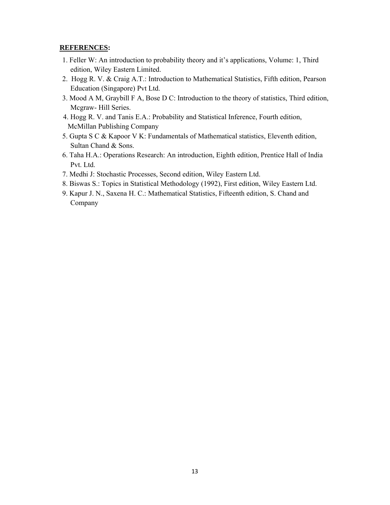- 1. Feller W: An introduction to probability theory and it's applications, Volume: 1, Third edition, Wiley Eastern Limited.
- 2. Hogg R. V. & Craig A.T.: Introduction to Mathematical Statistics, Fifth edition, Pearson Education (Singapore) Pvt Ltd.
- 3. Mood A M, Graybill F A, Bose D C: Introduction to the theory of statistics, Third edition, Mcgraw- Hill Series.
- 4. Hogg R. V. and Tanis E.A.: Probability and Statistical Inference, Fourth edition, McMillan Publishing Company
- 5. Gupta S C & Kapoor V K: Fundamentals of Mathematical statistics, Eleventh edition, Sultan Chand & Sons.
- 6. Taha H.A.: Operations Research: An introduction, Eighth edition, Prentice Hall of India Pvt. Ltd.
- 7. Medhi J: Stochastic Processes, Second edition, Wiley Eastern Ltd.
- 8. Biswas S.: Topics in Statistical Methodology (1992), First edition, Wiley Eastern Ltd.
- 9. Kapur J. N., Saxena H. C.: Mathematical Statistics, Fifteenth edition, S. Chand and Company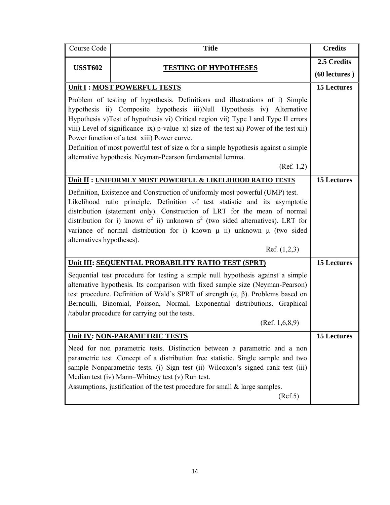| Course Code                                                                                                                                                                                                                                                                                                                                                                                                                                                                                                                                                     | <b>Title</b>                                                                                                                                                                                                                                                                                                                                                                                                          | <b>Credits</b>                    |
|-----------------------------------------------------------------------------------------------------------------------------------------------------------------------------------------------------------------------------------------------------------------------------------------------------------------------------------------------------------------------------------------------------------------------------------------------------------------------------------------------------------------------------------------------------------------|-----------------------------------------------------------------------------------------------------------------------------------------------------------------------------------------------------------------------------------------------------------------------------------------------------------------------------------------------------------------------------------------------------------------------|-----------------------------------|
| <b>USST602</b>                                                                                                                                                                                                                                                                                                                                                                                                                                                                                                                                                  | <b>TESTING OF HYPOTHESES</b>                                                                                                                                                                                                                                                                                                                                                                                          | 2.5 Credits<br>$(60$ lectures $)$ |
|                                                                                                                                                                                                                                                                                                                                                                                                                                                                                                                                                                 | Unit I : MOST POWERFUL TESTS                                                                                                                                                                                                                                                                                                                                                                                          | <b>15 Lectures</b>                |
| Problem of testing of hypothesis. Definitions and illustrations of i) Simple<br>hypothesis ii) Composite hypothesis iii)Null Hypothesis iv) Alternative<br>Hypothesis v)Test of hypothesis vi) Critical region vii) Type I and Type II errors<br>viii) Level of significance ix) p-value x) size of the test xi) Power of the test xii)<br>Power function of a test xiii) Power curve.<br>Definition of most powerful test of size $\alpha$ for a simple hypothesis against a simple<br>alternative hypothesis. Neyman-Pearson fundamental lemma.<br>(Ref. 1,2) |                                                                                                                                                                                                                                                                                                                                                                                                                       |                                   |
|                                                                                                                                                                                                                                                                                                                                                                                                                                                                                                                                                                 | Unit II : UNIFORMLY MOST POWERFUL & LIKELIHOOD RATIO TESTS                                                                                                                                                                                                                                                                                                                                                            | <b>15 Lectures</b>                |
| Definition, Existence and Construction of uniformly most powerful (UMP) test.<br>Likelihood ratio principle. Definition of test statistic and its asymptotic<br>distribution (statement only). Construction of LRT for the mean of normal<br>distribution for i) known $\sigma^2$ ii) unknown $\sigma^2$ (two sided alternatives). LRT for<br>variance of normal distribution for i) known $\mu$ ii) unknown $\mu$ (two sided<br>alternatives hypotheses).<br>Ref. $(1,2,3)$                                                                                    |                                                                                                                                                                                                                                                                                                                                                                                                                       |                                   |
|                                                                                                                                                                                                                                                                                                                                                                                                                                                                                                                                                                 | Unit III: SEQUENTIAL PROBABILITY RATIO TEST (SPRT)                                                                                                                                                                                                                                                                                                                                                                    | <b>15 Lectures</b>                |
|                                                                                                                                                                                                                                                                                                                                                                                                                                                                                                                                                                 | Sequential test procedure for testing a simple null hypothesis against a simple<br>alternative hypothesis. Its comparison with fixed sample size (Neyman-Pearson)<br>test procedure. Definition of Wald's SPRT of strength $(\alpha, \beta)$ . Problems based on<br>Bernoulli, Binomial, Poisson, Normal, Exponential distributions. Graphical<br>/tabular procedure for carrying out the tests.<br>(Ref. 1, 6, 8, 9) |                                   |
| <b>Unit IV: NON-PARAMETRIC TESTS</b>                                                                                                                                                                                                                                                                                                                                                                                                                                                                                                                            |                                                                                                                                                                                                                                                                                                                                                                                                                       | <b>15 Lectures</b>                |
|                                                                                                                                                                                                                                                                                                                                                                                                                                                                                                                                                                 | Need for non parametric tests. Distinction between a parametric and a non<br>parametric test .Concept of a distribution free statistic. Single sample and two<br>sample Nonparametric tests. (i) Sign test (ii) Wilcoxon's signed rank test (iii)<br>Median test (iv) Mann-Whitney test (v) Run test.<br>Assumptions, justification of the test procedure for small $\&$ large samples.<br>(Ref.5)                    |                                   |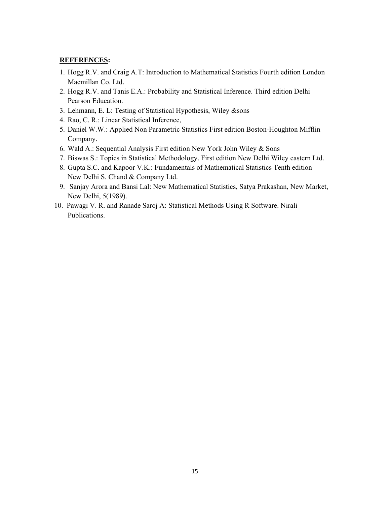- 1. Hogg R.V. and Craig A.T: Introduction to Mathematical Statistics Fourth edition London Macmillan Co. Ltd.
- 2. Hogg R.V. and Tanis E.A.: Probability and Statistical Inference. Third edition Delhi Pearson Education.
- 3. Lehmann, E. L: Testing of Statistical Hypothesis, Wiley &sons
- 4. Rao, C. R.: Linear Statistical Inference,
- 5. Daniel W.W.: Applied Non Parametric Statistics First edition Boston-Houghton Mifflin Company.
- 6. Wald A.: Sequential Analysis First edition New York John Wiley & Sons
- 7. Biswas S.: Topics in Statistical Methodology. First edition New Delhi Wiley eastern Ltd.
- 8. Gupta S.C. and Kapoor V.K.: Fundamentals of Mathematical Statistics Tenth edition New Delhi S. Chand & Company Ltd.
- 9. Sanjay Arora and Bansi Lal: New Mathematical Statistics, Satya Prakashan, New Market, New Delhi, 5(1989).
- 10. Pawagi V. R. and Ranade Saroj A: Statistical Methods Using R Software. Nirali Publications.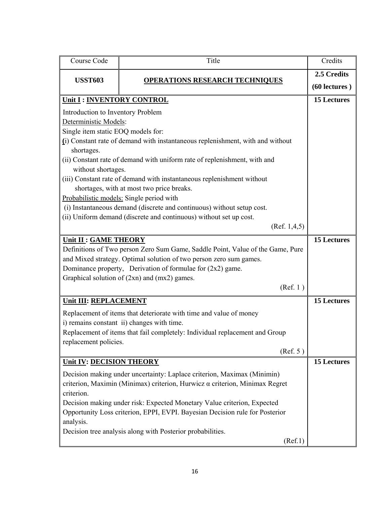| Course Code                                                                  | Title                                                                          | Credits            |  |
|------------------------------------------------------------------------------|--------------------------------------------------------------------------------|--------------------|--|
| <b>USST603</b>                                                               | <b>OPERATIONS RESEARCH TECHNIQUES</b>                                          | 2.5 Credits        |  |
|                                                                              |                                                                                | $(60$ lectures $)$ |  |
| Unit I: INVENTORY CONTROL                                                    |                                                                                | <b>15 Lectures</b> |  |
| Introduction to Inventory Problem                                            |                                                                                |                    |  |
| Deterministic Models:                                                        |                                                                                |                    |  |
| Single item static EOQ models for:                                           |                                                                                |                    |  |
|                                                                              | (i) Constant rate of demand with instantaneous replenishment, with and without |                    |  |
| shortages.                                                                   |                                                                                |                    |  |
|                                                                              | (ii) Constant rate of demand with uniform rate of replenishment, with and      |                    |  |
| without shortages.                                                           |                                                                                |                    |  |
|                                                                              | (iii) Constant rate of demand with instantaneous replenishment without         |                    |  |
|                                                                              | shortages, with at most two price breaks.                                      |                    |  |
|                                                                              | Probabilistic models: Single period with                                       |                    |  |
|                                                                              | (i) Instantaneous demand (discrete and continuous) without setup cost.         |                    |  |
|                                                                              | (ii) Uniform demand (discrete and continuous) without set up cost.             |                    |  |
|                                                                              | (Ref. 1, 4, 5)                                                                 |                    |  |
| Unit II : GAME THEORY                                                        |                                                                                | <b>15 Lectures</b> |  |
|                                                                              | Definitions of Two person Zero Sum Game, Saddle Point, Value of the Game, Pure |                    |  |
|                                                                              | and Mixed strategy. Optimal solution of two person zero sum games.             |                    |  |
|                                                                              | Dominance property, Derivation of formulae for (2x2) game.                     |                    |  |
|                                                                              | Graphical solution of (2xn) and (mx2) games.                                   |                    |  |
|                                                                              | (Ref. 1)                                                                       |                    |  |
| Unit III: REPLACEMENT                                                        |                                                                                | <b>15 Lectures</b> |  |
|                                                                              | Replacement of items that deteriorate with time and value of money             |                    |  |
|                                                                              | i) remains constant ii) changes with time.                                     |                    |  |
|                                                                              | Replacement of items that fail completely: Individual replacement and Group    |                    |  |
|                                                                              | replacement policies.                                                          |                    |  |
|                                                                              | (Ref. 5)                                                                       |                    |  |
| Unit IV: DECISION THEORY                                                     |                                                                                | <b>15 Lectures</b> |  |
|                                                                              | Decision making under uncertainty: Laplace criterion, Maximax (Minimin)        |                    |  |
| criterion, Maximin (Minimax) criterion, Hurwicz a criterion, Minimax Regret  |                                                                                |                    |  |
| criterion.                                                                   |                                                                                |                    |  |
| Decision making under risk: Expected Monetary Value criterion, Expected      |                                                                                |                    |  |
| Opportunity Loss criterion, EPPI, EVPI. Bayesian Decision rule for Posterior |                                                                                |                    |  |
| analysis.                                                                    |                                                                                |                    |  |
| Decision tree analysis along with Posterior probabilities.                   |                                                                                |                    |  |
|                                                                              | (Ref.1)                                                                        |                    |  |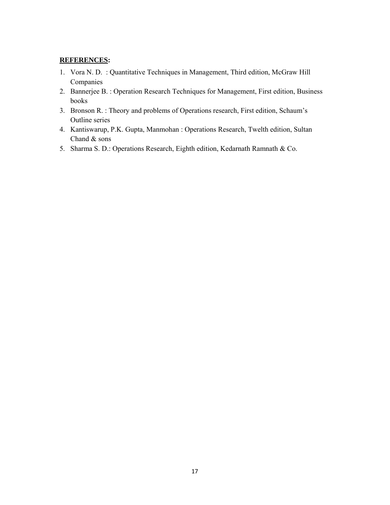- 1. Vora N. D. : Quantitative Techniques in Management, Third edition, McGraw Hill Companies
- 2. Bannerjee B. : Operation Research Techniques for Management, First edition, Business books
- 3. Bronson R. : Theory and problems of Operations research, First edition, Schaum's Outline series
- 4. Kantiswarup, P.K. Gupta, Manmohan : Operations Research, Twelth edition, Sultan Chand & sons
- 5. Sharma S. D.: Operations Research, Eighth edition, Kedarnath Ramnath & Co.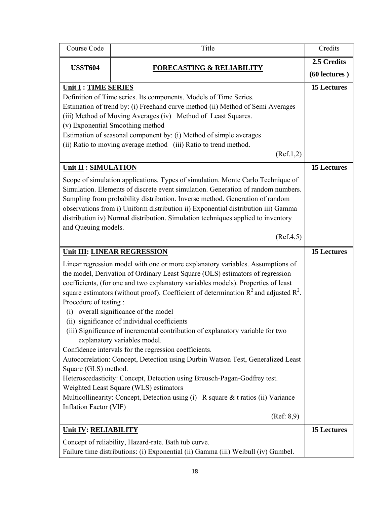| Course Code                                                                                                                                                                                                                                                                                                                                                                                                                             | Title                                                                                                                                                                                                                                                                                                                                                                                                                                                                                                                                                                                                                                                                                                                                                                                                                                                                                                                             | Credits                      |
|-----------------------------------------------------------------------------------------------------------------------------------------------------------------------------------------------------------------------------------------------------------------------------------------------------------------------------------------------------------------------------------------------------------------------------------------|-----------------------------------------------------------------------------------------------------------------------------------------------------------------------------------------------------------------------------------------------------------------------------------------------------------------------------------------------------------------------------------------------------------------------------------------------------------------------------------------------------------------------------------------------------------------------------------------------------------------------------------------------------------------------------------------------------------------------------------------------------------------------------------------------------------------------------------------------------------------------------------------------------------------------------------|------------------------------|
| <b>USST604</b>                                                                                                                                                                                                                                                                                                                                                                                                                          | <b>FORECASTING &amp; RELIABILITY</b>                                                                                                                                                                                                                                                                                                                                                                                                                                                                                                                                                                                                                                                                                                                                                                                                                                                                                              | 2.5 Credits<br>(60 lectures) |
| Unit I : TIME SERIES<br>Definition of Time series. Its components. Models of Time Series.<br>Estimation of trend by: (i) Freehand curve method (ii) Method of Semi Averages<br>(iii) Method of Moving Averages (iv) Method of Least Squares.<br>(v) Exponential Smoothing method<br>Estimation of seasonal component by: (i) Method of simple averages<br>(ii) Ratio to moving average method (iii) Ratio to trend method.<br>(Ref.1,2) |                                                                                                                                                                                                                                                                                                                                                                                                                                                                                                                                                                                                                                                                                                                                                                                                                                                                                                                                   | <b>15 Lectures</b>           |
| Unit II : SIMULATION<br>and Queuing models.                                                                                                                                                                                                                                                                                                                                                                                             | Scope of simulation applications. Types of simulation. Monte Carlo Technique of<br>Simulation. Elements of discrete event simulation. Generation of random numbers.<br>Sampling from probability distribution. Inverse method. Generation of random<br>observations from i) Uniform distribution ii) Exponential distribution iii) Gamma<br>distribution iv) Normal distribution. Simulation techniques applied to inventory<br>(Ref.4, 5)                                                                                                                                                                                                                                                                                                                                                                                                                                                                                        | <b>15 Lectures</b>           |
|                                                                                                                                                                                                                                                                                                                                                                                                                                         | Unit III: LINEAR REGRESSION                                                                                                                                                                                                                                                                                                                                                                                                                                                                                                                                                                                                                                                                                                                                                                                                                                                                                                       | <b>15 Lectures</b>           |
| Procedure of testing:<br>(i)<br>Square (GLS) method.<br>Inflation Factor (VIF)                                                                                                                                                                                                                                                                                                                                                          | Linear regression model with one or more explanatory variables. Assumptions of<br>the model, Derivation of Ordinary Least Square (OLS) estimators of regression<br>coefficients, (for one and two explanatory variables models). Properties of least<br>square estimators (without proof). Coefficient of determination $R^2$ and adjusted $R^2$ .<br>overall significance of the model<br>(ii) significance of individual coefficients<br>(iii) Significance of incremental contribution of explanatory variable for two<br>explanatory variables model.<br>Confidence intervals for the regression coefficients.<br>Autocorrelation: Concept, Detection using Durbin Watson Test, Generalized Least<br>Heteroscedasticity: Concept, Detection using Breusch-Pagan-Godfrey test.<br>Weighted Least Square (WLS) estimators<br>Multicollinearity: Concept, Detection using (i) R square $&$ t ratios (ii) Variance<br>(Ref: 8, 9) |                              |
| <b>Unit IV: RELIABILITY</b>                                                                                                                                                                                                                                                                                                                                                                                                             |                                                                                                                                                                                                                                                                                                                                                                                                                                                                                                                                                                                                                                                                                                                                                                                                                                                                                                                                   | <b>15 Lectures</b>           |
|                                                                                                                                                                                                                                                                                                                                                                                                                                         | Concept of reliability, Hazard-rate. Bath tub curve.<br>Failure time distributions: (i) Exponential (ii) Gamma (iii) Weibull (iv) Gumbel.                                                                                                                                                                                                                                                                                                                                                                                                                                                                                                                                                                                                                                                                                                                                                                                         |                              |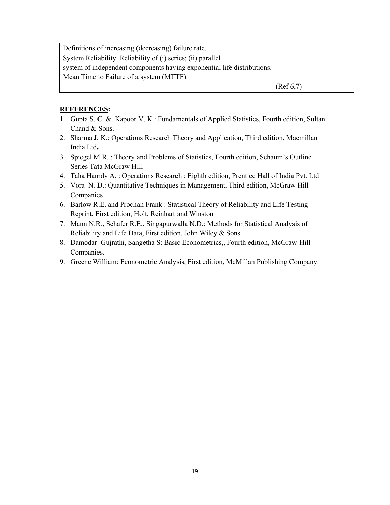| Definitions of increasing (decreasing) failure rate.                    |           |  |
|-------------------------------------------------------------------------|-----------|--|
| System Reliability. Reliability of (i) series; (ii) parallel            |           |  |
| system of independent components having exponential life distributions. |           |  |
| Mean Time to Failure of a system (MTTF).                                |           |  |
|                                                                         | (Ref 6,7) |  |

- 1. Gupta S. C. &. Kapoor V. K.: Fundamentals of Applied Statistics, Fourth edition, Sultan Chand & Sons.
- 2. Sharma J. K.: Operations Research Theory and Application, Third edition, Macmillan India Ltd**.**
- 3. Spiegel M.R. : Theory and Problems of Statistics, Fourth edition, Schaum's Outline Series Tata McGraw Hill
- 4. Taha Hamdy A. : Operations Research : Eighth edition, Prentice Hall of India Pvt. Ltd
- 5. Vora N. D.: Quantitative Techniques in Management, Third edition, McGraw Hill Companies
- 6. Barlow R.E. and Prochan Frank : Statistical Theory of Reliability and Life Testing Reprint, First edition, Holt, Reinhart and Winston
- 7. Mann N.R., Schafer R.E., Singapurwalla N.D.: Methods for Statistical Analysis of Reliability and Life Data, First edition, John Wiley & Sons.
- 8. Damodar Gujrathi, Sangetha S: Basic Econometrics,, Fourth edition, McGraw-Hill Companies.
- 9. Greene William: Econometric Analysis, First edition, McMillan Publishing Company.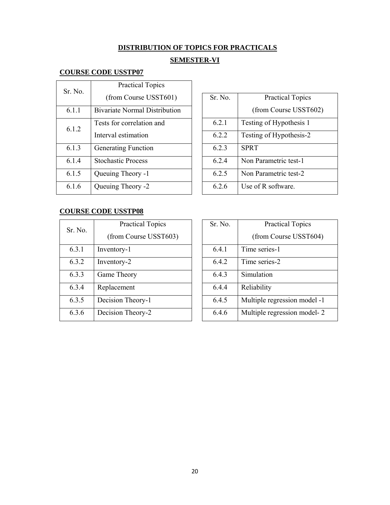# **DISTRIBUTION OF TOPICS FOR PRACTICALS**

# **SEMESTER-VI**

# **COURSE CODE USSTP07**

| Sr No | <b>Practical Topics</b>              |
|-------|--------------------------------------|
|       | (from Course USST601)                |
| 6.1.1 | <b>Bivariate Normal Distribution</b> |
| 6.1.2 | Tests for correlation and            |
|       | Interval estimation                  |
| 6.1.3 | <b>Generating Function</b>           |
| 6.1.4 | <b>Stochastic Process</b>            |
| 6.1.5 | <b>Oueuing Theory -1</b>             |
| 6.1.6 | Queuing Theory -2                    |

| Sr. No. | <b>Practical Topics</b> |
|---------|-------------------------|
|         | (from Course USST602)   |
| 6.2.1   | Testing of Hypothesis 1 |
| 6.2.2   | Testing of Hypothesis-2 |
| 623     | <b>SPRT</b>             |
| 624     | Non Parametric test-1   |
| 6.2.5   | Non Parametric test-2   |
| 626     | Use of R software.      |

# **COURSE CODE USSTP08**

| Sr. No. | <b>Practical Topics</b> |
|---------|-------------------------|
|         | (from Course USST603)   |
| 6.3.1   | Inventory-1             |
| 6.3.2   | Inventory-2             |
| 6.3.3   | Game Theory             |
| 6.3.4   | Replacement             |
| 6.3.5   | Decision Theory-1       |
| 6.3.6   | Decision Theory-2       |

| Sr. No. | <b>Practical Topics</b>      |
|---------|------------------------------|
|         | (from Course USST604)        |
| 6.4.1   | Time series-1                |
| 6.4.2   | Time series-2                |
| 6.4.3   | Simulation                   |
| 6.4.4   | Reliability                  |
| 6.4.5   | Multiple regression model -1 |
| 6.4.6   | Multiple regression model-2  |